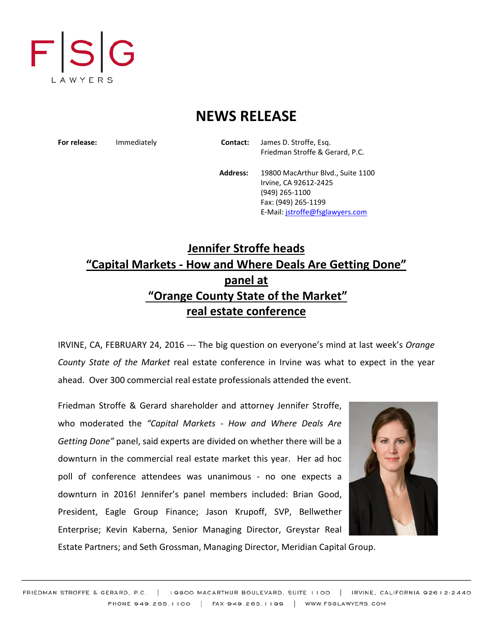

## **NEWS RELEASE**

**For release:** Immediately **Contact:** James D. Stroffe, Esq. Friedman Stroffe & Gerard, P.C.

> **Address:** 19800 MacArthur Blvd., Suite 1100 Irvine, CA 92612-2425 (949) 265-1100 Fax: (949) 265-1199 E-Mail: [jstroffe@fsglawyers.com](mailto:jstroffe@fsglawyers.com)

## **Jennifer Stroffe heads "Capital Markets - How and Where Deals Are Getting Done" panel at "Orange County State of the Market" real estate conference**

IRVINE, CA, FEBRUARY 24, 2016 --- The big question on everyone's mind at last week's *Orange County State of the Market* real estate conference in Irvine was what to expect in the year ahead. Over 300 commercial real estate professionals attended the event.

Friedman Stroffe & Gerard shareholder and attorney Jennifer Stroffe, who moderated the *"Capital Markets - How and Where Deals Are Getting Done"* panel, said experts are divided on whether there will be a downturn in the commercial real estate market this year. Her ad hoc poll of conference attendees was unanimous - no one expects a downturn in 2016! Jennifer's panel members included: Brian Good, President, Eagle Group Finance; Jason Krupoff, SVP, Bellwether Enterprise; Kevin Kaberna, Senior Managing Director, Greystar Real



Estate Partners; and Seth Grossman, Managing Director, Meridian Capital Group.